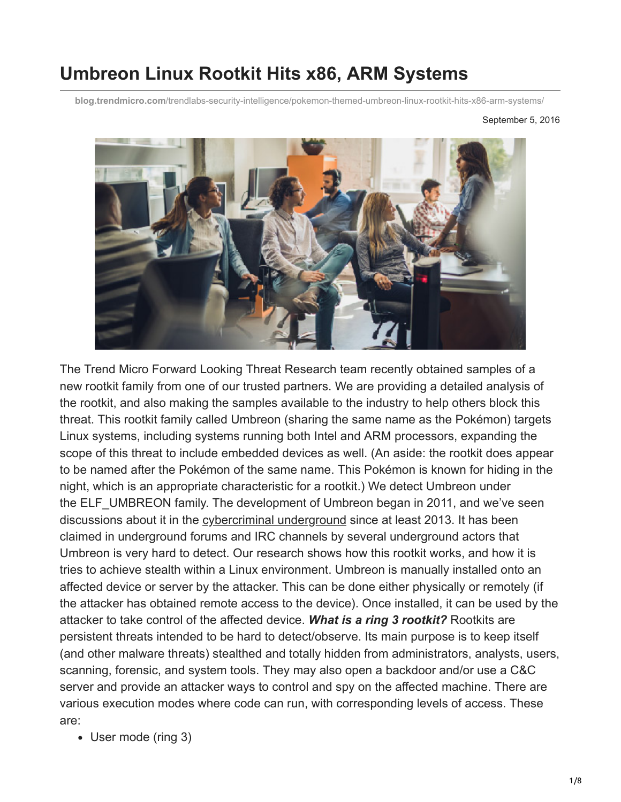# **Umbreon Linux Rootkit Hits x86, ARM Systems**

**blog.trendmicro.com**[/trendlabs-security-intelligence/pokemon-themed-umbreon-linux-rootkit-hits-x86-arm-systems/](http://blog.trendmicro.com/trendlabs-security-intelligence/pokemon-themed-umbreon-linux-rootkit-hits-x86-arm-systems/)



The Trend Micro Forward Looking Threat Research team recently obtained samples of a new rootkit family from one of our trusted partners. We are providing a detailed analysis of the rootkit, and also making the samples available to the industry to help others block this threat. This rootkit family called Umbreon (sharing the same name as the Pokémon) targets Linux systems, including systems running both Intel and ARM processors, expanding the scope of this threat to include embedded devices as well. (An aside: the rootkit does appear to be named after the Pokémon of the same name. This Pokémon is known for hiding in the night, which is an appropriate characteristic for a rootkit.) We detect Umbreon under the ELF UMBREON family. The development of Umbreon began in 2011, and we've seen discussions about it in the [cybercriminal underground](http://www.trendmicro.com/vinfo/us/security/threat-intelligence-center/deep-web/) since at least 2013. It has been claimed in underground forums and IRC channels by several underground actors that Umbreon is very hard to detect. Our research shows how this rootkit works, and how it is tries to achieve stealth within a Linux environment. Umbreon is manually installed onto an affected device or server by the attacker. This can be done either physically or remotely (if the attacker has obtained remote access to the device). Once installed, it can be used by the attacker to take control of the affected device. *What is a ring 3 rootkit?* Rootkits are persistent threats intended to be hard to detect/observe. Its main purpose is to keep itself (and other malware threats) stealthed and totally hidden from administrators, analysts, users, scanning, forensic, and system tools. They may also open a backdoor and/or use a C&C server and provide an attacker ways to control and spy on the affected machine. There are various execution modes where code can run, with corresponding levels of access. These are:

User mode (ring 3)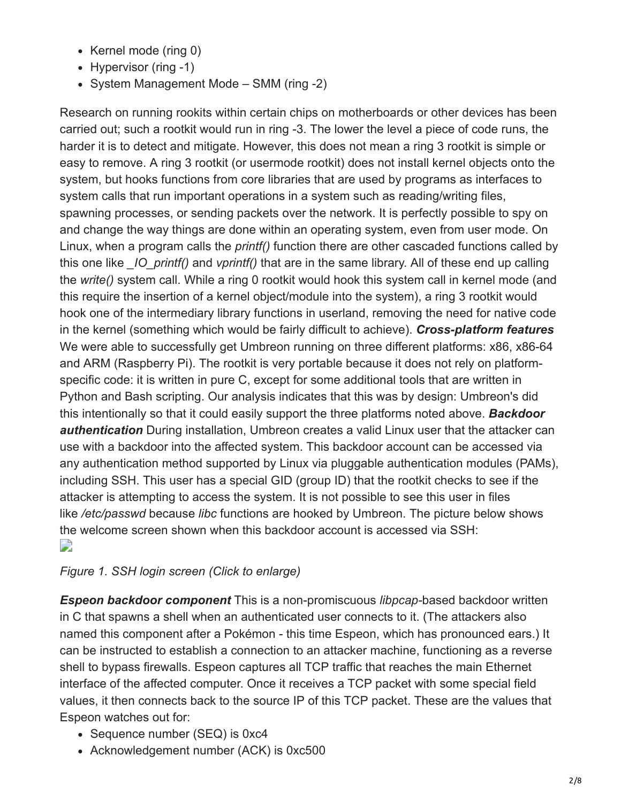- Kernel mode (ring 0)
- Hypervisor (ring -1)
- System Management Mode SMM (ring -2)

Research on running rookits within certain chips on motherboards or other devices has been carried out; such a rootkit would run in ring -3. The lower the level a piece of code runs, the harder it is to detect and mitigate. However, this does not mean a ring 3 rootkit is simple or easy to remove. A ring 3 rootkit (or usermode rootkit) does not install kernel objects onto the system, but hooks functions from core libraries that are used by programs as interfaces to system calls that run important operations in a system such as reading/writing files, spawning processes, or sending packets over the network. It is perfectly possible to spy on and change the way things are done within an operating system, even from user mode. On Linux, when a program calls the *printf()* function there are other cascaded functions called by this one like *\_IO\_printf()* and *vprintf()* that are in the same library. All of these end up calling the *write()* system call. While a ring 0 rootkit would hook this system call in kernel mode (and this require the insertion of a kernel object/module into the system), a ring 3 rootkit would hook one of the intermediary library functions in userland, removing the need for native code in the kernel (something which would be fairly difficult to achieve). *Cross-platform features* We were able to successfully get Umbreon running on three different platforms: x86, x86-64 and ARM (Raspberry Pi). The rootkit is very portable because it does not rely on platformspecific code: it is written in pure C, except for some additional tools that are written in Python and Bash scripting. Our analysis indicates that this was by design: Umbreon's did this intentionally so that it could easily support the three platforms noted above. *Backdoor authentication* During installation, Umbreon creates a valid Linux user that the attacker can use with a backdoor into the affected system. This backdoor account can be accessed via any authentication method supported by Linux via pluggable authentication modules (PAMs), including SSH. This user has a special GID (group ID) that the rootkit checks to see if the attacker is attempting to access the system. It is not possible to see this user in files like */etc/passwd* because *libc* functions are hooked by Umbreon. The picture below shows the welcome screen shown when this backdoor account is accessed via SSH: D

## *Figure 1. SSH login screen (Click to enlarge)*

*Espeon backdoor component* This is a non-promiscuous *libpcap-*based backdoor written in C that spawns a shell when an authenticated user connects to it. (The attackers also named this component after a Pokémon - this time Espeon, which has pronounced ears.) It can be instructed to establish a connection to an attacker machine, functioning as a reverse shell to bypass firewalls. Espeon captures all TCP traffic that reaches the main Ethernet interface of the affected computer. Once it receives a TCP packet with some special field values, it then connects back to the source IP of this TCP packet. These are the values that Espeon watches out for:

- Sequence number (SEQ) is 0xc4
- Acknowledgement number (ACK) is 0xc500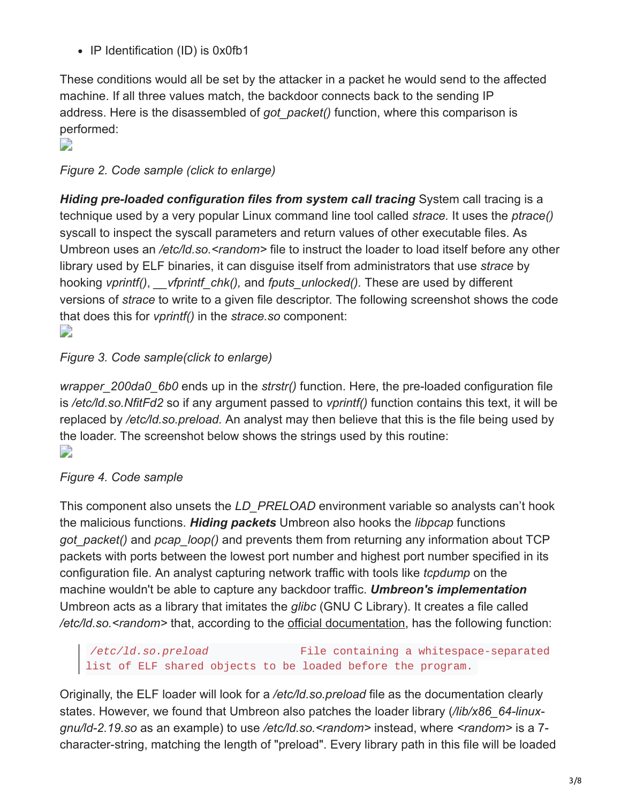• IP Identification (ID) is 0x0fb1

These conditions would all be set by the attacker in a packet he would send to the affected machine. If all three values match, the backdoor connects back to the sending IP address. Here is the disassembled of *got\_packet()* function, where this comparison is performed:

 $\overline{\phantom{a}}$ 

*Figure 2. Code sample (click to enlarge)*

*Hiding pre-loaded configuration files from system call tracing* System call tracing is a technique used by a very popular Linux command line tool called *strace.* It uses the *ptrace()* syscall to inspect the syscall parameters and return values of other executable files. As Umbreon uses an */etc/ld.so.<random>* file to instruct the loader to load itself before any other library used by ELF binaries, it can disguise itself from administrators that use *strace* by hooking *vprintf()*, *\_\_vfprintf\_chk(),* and *fputs\_unlocked().* These are used by different versions of *strace* to write to a given file descriptor. The following screenshot shows the code that does this for *vprintf()* in the *strace.so* component: D

## *Figure 3. Code sample(click to enlarge)*

*wrapper\_200da0\_6b0* ends up in the *strstr()* function. Here, the pre-loaded configuration file is */etc/ld.so.NfitFd2* so if any argument passed to *vprintf()* function contains this text, it will be replaced by */etc/ld.so.preload.* An analyst may then believe that this is the file being used by the loader. The screenshot below shows the strings used by this routine: D

## *Figure 4. Code sample*

This component also unsets the *LD\_PRELOAD* environment variable so analysts can't hook the malicious functions. *Hiding packets* Umbreon also hooks the *libpcap* functions *got\_packet()* and *pcap\_loop()* and prevents them from returning any information about TCP packets with ports between the lowest port number and highest port number specified in its configuration file. An analyst capturing network traffic with tools like *tcpdump* on the machine wouldn't be able to capture any backdoor traffic. *Umbreon's implementation* Umbreon acts as a library that imitates the *glibc* (GNU C Library). It creates a file called */etc/ld.so.<random>* that, according to the [official documentation,](http://man7.org/linux/man-pages/man8/ld.so.8.html) has the following function:

## */etc/ld.so.preload* File containing a whitespace-separated list of ELF shared objects to be loaded before the program.

Originally, the ELF loader will look for a */etc/ld.so.preload* file as the documentation clearly states. However, we found that Umbreon also patches the loader library (*/lib/x86\_64-linuxgnu/ld-2.19.so* as an example) to use */etc/ld.so.<random>* instead, where *<random>* is a 7 character-string, matching the length of "preload". Every library path in this file will be loaded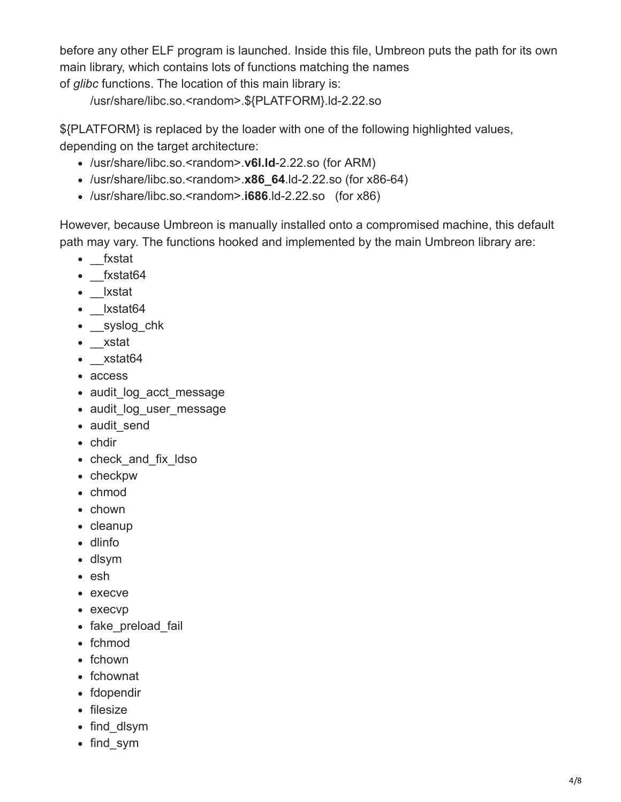before any other ELF program is launched. Inside this file, Umbreon puts the path for its own main library, which contains lots of functions matching the names of *glibc* functions. The location of this main library is:

/usr/share/libc.so.<random>.\${PLATFORM}.ld-2.22.so

\${PLATFORM} is replaced by the loader with one of the following highlighted values, depending on the target architecture:

- /usr/share/libc.so.<random>.**v6l.ld**-2.22.so (for ARM)
- /usr/share/libc.so.<random>.**x86\_64**.ld-2.22.so (for x86-64)
- /usr/share/libc.so.<random>.**i686**.ld-2.22.so (for x86)

However, because Umbreon is manually installed onto a compromised machine, this default path may vary. The functions hooked and implemented by the main Umbreon library are:

- fxstat
- fxstat64
- \_\_lxstat
- lxstat64
- \_\_syslog\_chk
- \_xstat
- xstat64
- access
- audit log acct message
- audit log user message
- audit send
- chdir
- check and fix Idso
- checkpw
- chmod
- chown
- cleanup
- dlinfo
- dlsym
- esh
- execve
- execvp
- fake\_preload\_fail
- fchmod
- fchown
- fchownat
- fdopendir
- filesize
- find dlsym
- find sym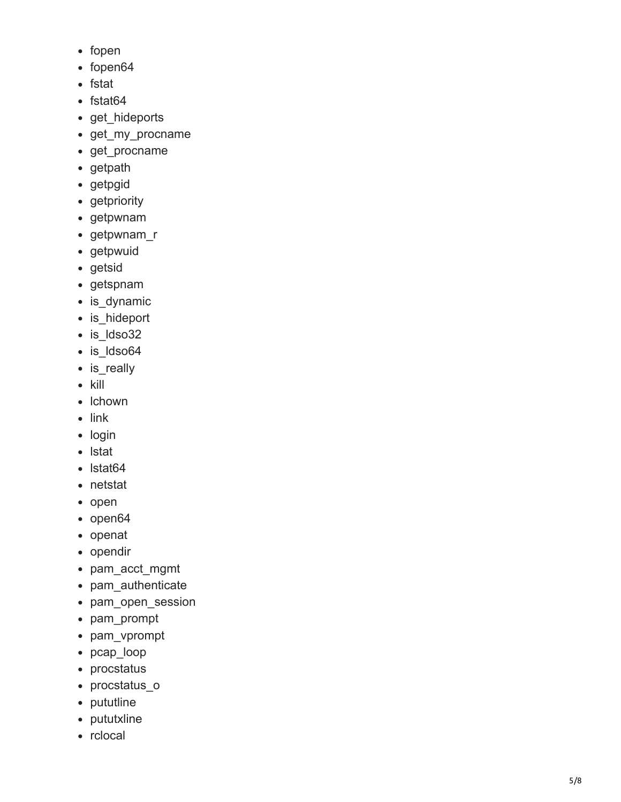- fopen
- fopen64
- fstat
- fstat64
- get hideports
- get\_my\_procname
- get\_procname
- getpath
- getpgid
- getpriority
- getpwnam
- getpwnam\_r
- getpwuid
- getsid
- getspnam
- is dynamic
- is\_hideport
- is ldso32
- is ldso64
- is\_really
- $\bullet$  kill
- Ichown
- $\bullet$  link
- login
- lstat
- Istat64
- netstat
- open
- open64
- openat
- opendir
- pam\_acct\_mgmt
- pam\_authenticate
- pam\_open\_session
- pam\_prompt
- pam\_vprompt
- pcap\_loop
- procstatus
- procstatus\_o
- pututline
- pututxline
- rclocal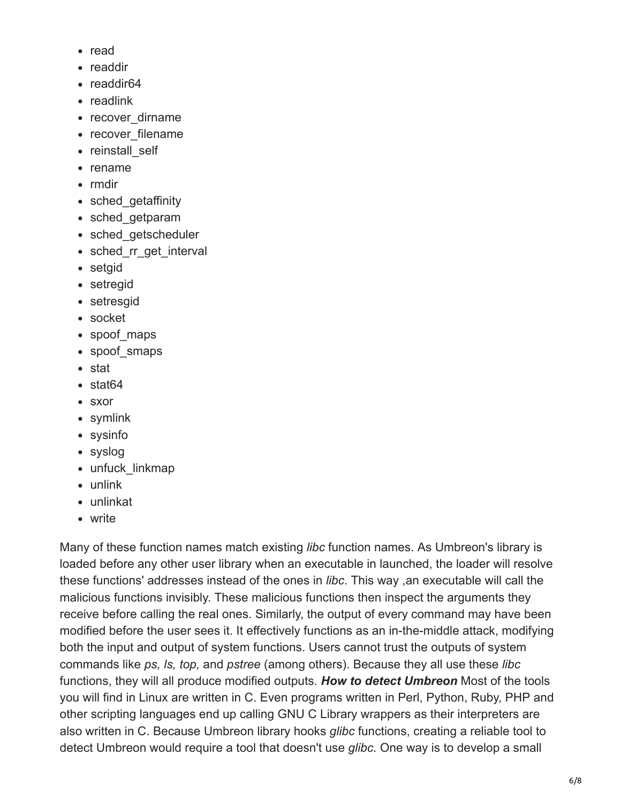- read
- readdir
- readdir64
- readlink
- recover dirname
- recover filename
- reinstall self
- rename
- rmdir
- sched getaffinity
- sched getparam
- sched getscheduler
- sched rr get interval
- setgid
- setregid
- setresgid
- socket
- spoof maps
- spoof smaps
- stat
- stat64
- sxor
- symlink
- sysinfo
- syslog
- unfuck linkmap
- unlink
- unlinkat
- write

Many of these function names match existing *libc* function names. As Umbreon's library is loaded before any other user library when an executable in launched, the loader will resolve these functions' addresses instead of the ones in *libc*. This way ,an executable will call the malicious functions invisibly. These malicious functions then inspect the arguments they receive before calling the real ones. Similarly, the output of every command may have been modified before the user sees it. It effectively functions as an in-the-middle attack, modifying both the input and output of system functions. Users cannot trust the outputs of system commands like *ps, ls, top,* and *pstree* (among others). Because they all use these *libc* functions, they will all produce modified outputs. *How to detect Umbreon* Most of the tools you will find in Linux are written in C. Even programs written in Perl, Python, Ruby, PHP and other scripting languages end up calling GNU C Library wrappers as their interpreters are also written in C. Because Umbreon library hooks *glibc* functions, creating a reliable tool to detect Umbreon would require a tool that doesn't use *glibc*. One way is to develop a small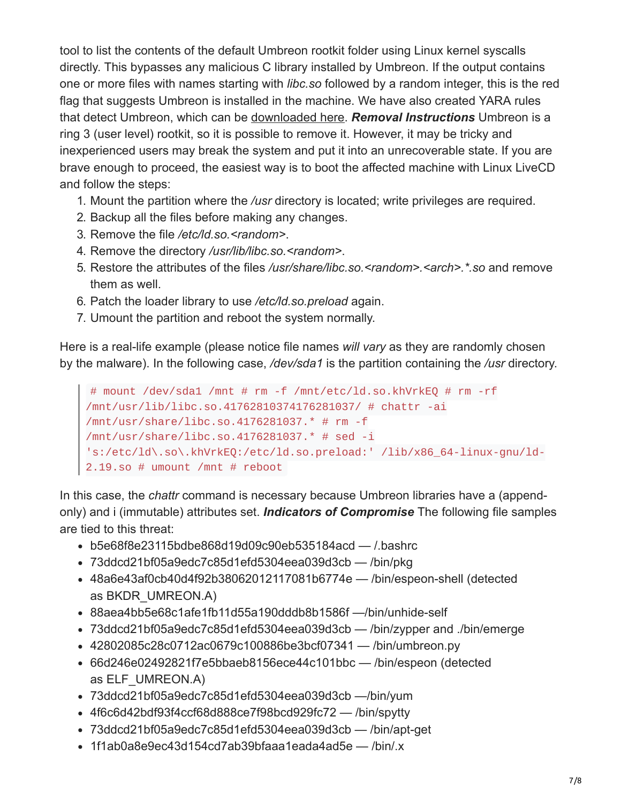tool to list the contents of the default Umbreon rootkit folder using Linux kernel syscalls directly. This bypasses any malicious C library installed by Umbreon. If the output contains one or more files with names starting with *libc.so* followed by a random integer, this is the red flag that suggests Umbreon is installed in the machine. We have also created YARA rules that detect Umbreon, which can be [downloaded here.](http://documents.trendmicro.com/assets/20160905-umbreon-yara.txt) *Removal Instructions* Umbreon is a ring 3 (user level) rootkit, so it is possible to remove it. However, it may be tricky and inexperienced users may break the system and put it into an unrecoverable state. If you are brave enough to proceed, the easiest way is to boot the affected machine with Linux LiveCD and follow the steps:

- 1. Mount the partition where the */usr* directory is located; write privileges are required.
- 2. Backup all the files before making any changes.
- 3. Remove the file */etc/ld.so.<random>*.
- 4. Remove the directory */usr/lib/libc.so.<random>*.
- 5. Restore the attributes of the files */usr/share/libc.so.<random>.<arch>.\*.so* and remove them as well.
- 6. Patch the loader library to use */etc/ld.so.preload* again.
- 7. Umount the partition and reboot the system normally.

Here is a real-life example (please notice file names *will vary* as they are randomly chosen by the malware). In the following case, */dev/sda1* is the partition containing the */usr* directory.

```
# mount /dev/sda1 /mnt # rm -f /mnt/etc/ld.so.khVrkEQ # rm -rf
/mnt/usr/lib/libc.so.41762810374176281037/ # chattr -ai
/mnt/usr/share/libc.so.4176281037.* # rm -f
/mnt/usr/share/libc.so.4176281037.* # sed -i
's:/etc/ld\.so\.khVrkEQ:/etc/ld.so.preload:' /lib/x86_64-linux-gnu/ld-
2.19.so # umount /mnt # reboot
```
In this case, the *chattr* command is necessary because Umbreon libraries have a (appendonly) and i (immutable) attributes set. *Indicators of Compromise* The following file samples are tied to this threat:

- b5e68f8e23115bdbe868d19d09c90eb535184acd /.bashrc
- 73ddcd21bf05a9edc7c85d1efd5304eea039d3cb /bin/pkg
- 48a6e43af0cb40d4f92b38062012117081b6774e /bin/espeon-shell (detected as BKDR\_UMREON.A)
- 88aea4bb5e68c1afe1fb11d55a190dddb8b1586f —/bin/unhide-self
- 73ddcd21bf05a9edc7c85d1efd5304eea039d3cb /bin/zypper and ./bin/emerge
- 42802085c28c0712ac0679c100886be3bcf07341 /bin/umbreon.py
- 66d246e02492821f7e5bbaeb8156ece44c101bbc /bin/espeon (detected as ELF\_UMREON.A)
- 73ddcd21bf05a9edc7c85d1efd5304eea039d3cb —/bin/yum
- 4f6c6d42bdf93f4ccf68d888ce7f98bcd929fc72 /bin/spytty
- 73ddcd21bf05a9edc7c85d1efd5304eea039d3cb /bin/apt-get
- 1f1ab0a8e9ec43d154cd7ab39bfaaa1eada4ad5e /bin/.x